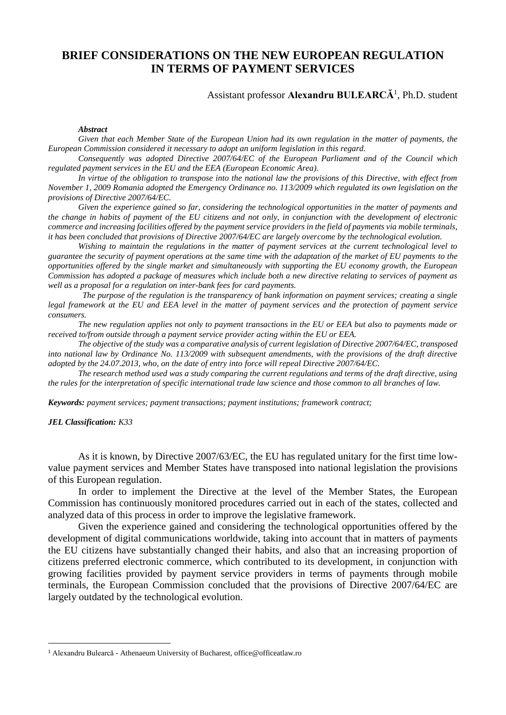# **BRIEF CONSIDERATIONS ON THE NEW EUROPEAN REGULATION IN TERMS OF PAYMENT SERVICES**

## Assistant professor **Alexandru BULEARCĂ**<sup>1</sup> , Ph.D. student

#### *Abstract*

*Given that each Member State of the European Union had its own regulation in the matter of payments, the European Commission considered it necessary to adopt an uniform legislation in this regard.*

*Consequently was adopted Directive 2007/64/EC of the European Parliament and of the Council which regulated payment services in the EU and the EEA (European Economic Area).*

*In virtue of the obligation to transpose into the national law the provisions of this Directive, with effect from November 1, 2009 Romania adopted the Emergency Ordinance no. 113/2009 which regulated its own legislation on the provisions of Directive 2007/64/EC.*

*Given the experience gained so far, considering the technological opportunities in the matter of payments and the change in habits of payment of the EU citizens and not only, in conjunction with the development of electronic commerce and increasing facilities offered by the payment service providers in the field of payments via mobile terminals, it has been concluded that provisions of Directive 2007/64/EC are largely overcome by the technological evolution.*

*Wishing to maintain the regulations in the matter of payment services at the current technological level to guarantee the security of payment operations at the same time with the adaptation of the market of EU payments to the opportunities offered by the single market and simultaneously with supporting the EU economy growth, the European Commission has adopted a package of measures which include both a new directive relating to services of payment as well as a proposal for a regulation on inter-bank fees for card payments.*

 *The purpose of the regulation is the transparency of bank information on payment services; creating a single legal framework at the EU and EEA level in the matter of payment services and the protection of payment service consumers.*

*The new regulation applies not only to payment transactions in the EU or EEA but also to payments made or received to/from outside through a payment service provider acting within the EU or EEA.*

*The objective of the study was a comparative analysis of current legislation of Directive 2007/64/EC, transposed into national law by Ordinance No. 113/2009 with subsequent amendments, with the provisions of the draft directive adopted by the 24.07.2013, who, on the date of entry into force will repeal Directive 2007/64/EC.* 

*The research method used was a study comparing the current regulations and terms of the draft directive, using the rules for the interpretation of specific international trade law science and those common to all branches of law.*

*Keywords: payment services; payment transactions; payment institutions; framework contract;*

### *JEL Classification: K33*

1

As it is known, by Directive 2007/63/EC, the EU has regulated unitary for the first time lowvalue payment services and Member States have transposed into national legislation the provisions of this European regulation.

In order to implement the Directive at the level of the Member States, the European Commission has continuously monitored procedures carried out in each of the states, collected and analyzed data of this process in order to improve the legislative framework.

Given the experience gained and considering the technological opportunities offered by the development of digital communications worldwide, taking into account that in matters of payments the EU citizens have substantially changed their habits, and also that an increasing proportion of citizens preferred electronic commerce, which contributed to its development, in conjunction with growing facilities provided by payment service providers in terms of payments through mobile terminals, the European Commission concluded that the provisions of Directive 2007/64/EC are largely outdated by the technological evolution.

<sup>1</sup> Alexandru Bulearcă - Athenaeum University of Bucharest, office@officeatlaw.ro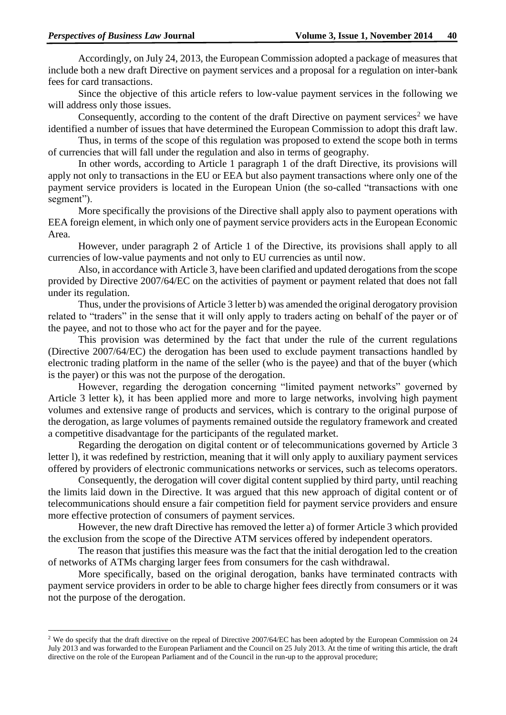1

Accordingly, on July 24, 2013, the European Commission adopted a package of measures that include both a new draft Directive on payment services and a proposal for a regulation on inter-bank fees for card transactions.

Since the objective of this article refers to low-value payment services in the following we will address only those issues.

Consequently, according to the content of the draft Directive on payment services<sup>2</sup> we have identified a number of issues that have determined the European Commission to adopt this draft law.

Thus, in terms of the scope of this regulation was proposed to extend the scope both in terms of currencies that will fall under the regulation and also in terms of geography.

In other words, according to Article 1 paragraph 1 of the draft Directive, its provisions will apply not only to transactions in the EU or EEA but also payment transactions where only one of the payment service providers is located in the European Union (the so-called "transactions with one segment").

More specifically the provisions of the Directive shall apply also to payment operations with EEA foreign element, in which only one of payment service providers acts in the European Economic Area.

However, under paragraph 2 of Article 1 of the Directive, its provisions shall apply to all currencies of low-value payments and not only to EU currencies as until now.

Also, in accordance with Article 3, have been clarified and updated derogations from the scope provided by Directive 2007/64/EC on the activities of payment or payment related that does not fall under its regulation.

Thus, under the provisions of Article 3 letter b) was amended the original derogatory provision related to "traders" in the sense that it will only apply to traders acting on behalf of the payer or of the payee, and not to those who act for the payer and for the payee.

This provision was determined by the fact that under the rule of the current regulations (Directive 2007/64/EC) the derogation has been used to exclude payment transactions handled by electronic trading platform in the name of the seller (who is the payee) and that of the buyer (which is the payer) or this was not the purpose of the derogation.

However, regarding the derogation concerning "limited payment networks" governed by Article 3 letter k), it has been applied more and more to large networks, involving high payment volumes and extensive range of products and services, which is contrary to the original purpose of the derogation, as large volumes of payments remained outside the regulatory framework and created a competitive disadvantage for the participants of the regulated market.

Regarding the derogation on digital content or of telecommunications governed by Article 3 letter l), it was redefined by restriction, meaning that it will only apply to auxiliary payment services offered by providers of electronic communications networks or services, such as telecoms operators.

Consequently, the derogation will cover digital content supplied by third party, until reaching the limits laid down in the Directive. It was argued that this new approach of digital content or of telecommunications should ensure a fair competition field for payment service providers and ensure more effective protection of consumers of payment services.

However, the new draft Directive has removed the letter a) of former Article 3 which provided the exclusion from the scope of the Directive ATM services offered by independent operators.

The reason that justifies this measure was the fact that the initial derogation led to the creation of networks of ATMs charging larger fees from consumers for the cash withdrawal.

More specifically, based on the original derogation, banks have terminated contracts with payment service providers in order to be able to charge higher fees directly from consumers or it was not the purpose of the derogation.

<sup>&</sup>lt;sup>2</sup> We do specify that the draft directive on the repeal of Directive 2007/64/EC has been adopted by the European Commission on 24 July 2013 and was forwarded to the European Parliament and the Council on 25 July 2013. At the time of writing this article, the draft directive on the role of the European Parliament and of the Council in the run-up to the approval procedure;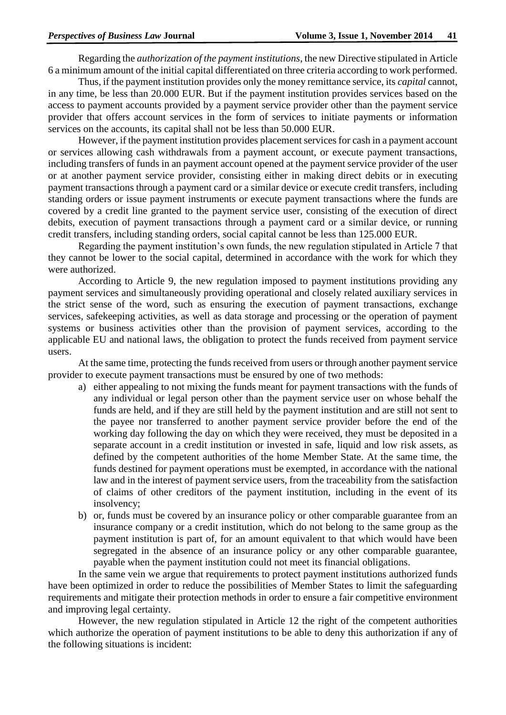Regarding the *authorization of the payment institutions*, the new Directive stipulated in Article 6 a minimum amount of the initial capital differentiated on three criteria according to work performed.

Thus, if the payment institution provides only the money remittance service, its *capital* cannot, in any time, be less than 20.000 EUR. But if the payment institution provides services based on the access to payment accounts provided by a payment service provider other than the payment service provider that offers account services in the form of services to initiate payments or information services on the accounts, its capital shall not be less than 50.000 EUR.

However, if the payment institution provides placement services for cash in a payment account or services allowing cash withdrawals from a payment account, or execute payment transactions, including transfers of funds in an payment account opened at the payment service provider of the user or at another payment service provider, consisting either in making direct debits or in executing payment transactions through a payment card or a similar device or execute credit transfers, including standing orders or issue payment instruments or execute payment transactions where the funds are covered by a credit line granted to the payment service user, consisting of the execution of direct debits, execution of payment transactions through a payment card or a similar device, or running credit transfers, including standing orders, social capital cannot be less than 125.000 EUR.

Regarding the payment institution's own funds, the new regulation stipulated in Article 7 that they cannot be lower to the social capital, determined in accordance with the work for which they were authorized.

According to Article 9, the new regulation imposed to payment institutions providing any payment services and simultaneously providing operational and closely related auxiliary services in the strict sense of the word, such as ensuring the execution of payment transactions, exchange services, safekeeping activities, as well as data storage and processing or the operation of payment systems or business activities other than the provision of payment services, according to the applicable EU and national laws, the obligation to protect the funds received from payment service users.

At the same time, protecting the funds received from users or through another payment service provider to execute payment transactions must be ensured by one of two methods:

- a) either appealing to not mixing the funds meant for payment transactions with the funds of any individual or legal person other than the payment service user on whose behalf the funds are held, and if they are still held by the payment institution and are still not sent to the payee nor transferred to another payment service provider before the end of the working day following the day on which they were received, they must be deposited in a separate account in a credit institution or invested in safe, liquid and low risk assets, as defined by the competent authorities of the home Member State. At the same time, the funds destined for payment operations must be exempted, in accordance with the national law and in the interest of payment service users, from the traceability from the satisfaction of claims of other creditors of the payment institution, including in the event of its insolvency;
- b) or, funds must be covered by an insurance policy or other comparable guarantee from an insurance company or a credit institution, which do not belong to the same group as the payment institution is part of, for an amount equivalent to that which would have been segregated in the absence of an insurance policy or any other comparable guarantee, payable when the payment institution could not meet its financial obligations.

In the same vein we argue that requirements to protect payment institutions authorized funds have been optimized in order to reduce the possibilities of Member States to limit the safeguarding requirements and mitigate their protection methods in order to ensure a fair competitive environment and improving legal certainty.

However, the new regulation stipulated in Article 12 the right of the competent authorities which authorize the operation of payment institutions to be able to deny this authorization if any of the following situations is incident: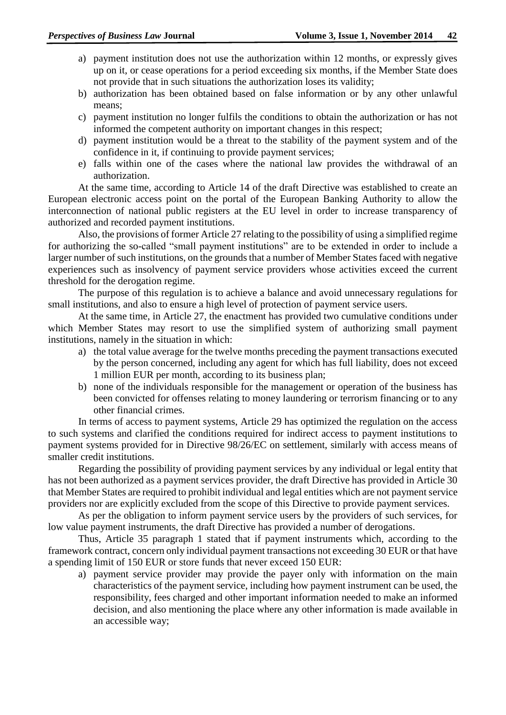- a) payment institution does not use the authorization within 12 months, or expressly gives up on it, or cease operations for a period exceeding six months, if the Member State does not provide that in such situations the authorization loses its validity;
- b) authorization has been obtained based on false information or by any other unlawful means;
- c) payment institution no longer fulfils the conditions to obtain the authorization or has not informed the competent authority on important changes in this respect;
- d) payment institution would be a threat to the stability of the payment system and of the confidence in it, if continuing to provide payment services;
- e) falls within one of the cases where the national law provides the withdrawal of an authorization.

At the same time, according to Article 14 of the draft Directive was established to create an European electronic access point on the portal of the European Banking Authority to allow the interconnection of national public registers at the EU level in order to increase transparency of authorized and recorded payment institutions.

Also, the provisions of former Article 27 relating to the possibility of using a simplified regime for authorizing the so-called "small payment institutions" are to be extended in order to include a larger number of such institutions, on the grounds that a number of Member States faced with negative experiences such as insolvency of payment service providers whose activities exceed the current threshold for the derogation regime.

The purpose of this regulation is to achieve a balance and avoid unnecessary regulations for small institutions, and also to ensure a high level of protection of payment service users.

At the same time, in Article 27, the enactment has provided two cumulative conditions under which Member States may resort to use the simplified system of authorizing small payment institutions, namely in the situation in which:

- a) the total value average for the twelve months preceding the payment transactions executed by the person concerned, including any agent for which has full liability, does not exceed 1 million EUR per month, according to its business plan;
- b) none of the individuals responsible for the management or operation of the business has been convicted for offenses relating to money laundering or terrorism financing or to any other financial crimes.

In terms of access to payment systems, Article 29 has optimized the regulation on the access to such systems and clarified the conditions required for indirect access to payment institutions to payment systems provided for in Directive 98/26/EC on settlement, similarly with access means of smaller credit institutions.

Regarding the possibility of providing payment services by any individual or legal entity that has not been authorized as a payment services provider, the draft Directive has provided in Article 30 that Member States are required to prohibit individual and legal entities which are not payment service providers nor are explicitly excluded from the scope of this Directive to provide payment services.

As per the obligation to inform payment service users by the providers of such services, for low value payment instruments, the draft Directive has provided a number of derogations.

Thus, Article 35 paragraph 1 stated that if payment instruments which, according to the framework contract, concern only individual payment transactions not exceeding 30 EUR or that have a spending limit of 150 EUR or store funds that never exceed 150 EUR:

a) payment service provider may provide the payer only with information on the main characteristics of the payment service, including how payment instrument can be used, the responsibility, fees charged and other important information needed to make an informed decision, and also mentioning the place where any other information is made available in an accessible way;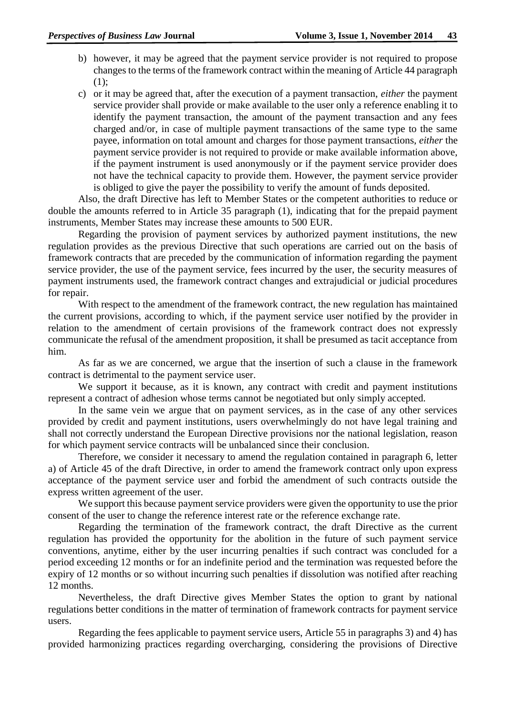- b) however, it may be agreed that the payment service provider is not required to propose changes to the terms of the framework contract within the meaning of Article 44 paragraph (1);
- c) or it may be agreed that, after the execution of a payment transaction, *either* the payment service provider shall provide or make available to the user only a reference enabling it to identify the payment transaction, the amount of the payment transaction and any fees charged and/or, in case of multiple payment transactions of the same type to the same payee, information on total amount and charges for those payment transactions, *either* the payment service provider is not required to provide or make available information above, if the payment instrument is used anonymously or if the payment service provider does not have the technical capacity to provide them. However, the payment service provider is obliged to give the payer the possibility to verify the amount of funds deposited.

Also, the draft Directive has left to Member States or the competent authorities to reduce or double the amounts referred to in Article 35 paragraph (1), indicating that for the prepaid payment instruments, Member States may increase these amounts to 500 EUR.

Regarding the provision of payment services by authorized payment institutions, the new regulation provides as the previous Directive that such operations are carried out on the basis of framework contracts that are preceded by the communication of information regarding the payment service provider, the use of the payment service, fees incurred by the user, the security measures of payment instruments used, the framework contract changes and extrajudicial or judicial procedures for repair.

With respect to the amendment of the framework contract, the new regulation has maintained the current provisions, according to which, if the payment service user notified by the provider in relation to the amendment of certain provisions of the framework contract does not expressly communicate the refusal of the amendment proposition, it shall be presumed as tacit acceptance from him.

As far as we are concerned, we argue that the insertion of such a clause in the framework contract is detrimental to the payment service user.

We support it because, as it is known, any contract with credit and payment institutions represent a contract of adhesion whose terms cannot be negotiated but only simply accepted.

In the same vein we argue that on payment services, as in the case of any other services provided by credit and payment institutions, users overwhelmingly do not have legal training and shall not correctly understand the European Directive provisions nor the national legislation, reason for which payment service contracts will be unbalanced since their conclusion.

Therefore, we consider it necessary to amend the regulation contained in paragraph 6, letter a) of Article 45 of the draft Directive, in order to amend the framework contract only upon express acceptance of the payment service user and forbid the amendment of such contracts outside the express written agreement of the user.

We support this because payment service providers were given the opportunity to use the prior consent of the user to change the reference interest rate or the reference exchange rate.

Regarding the termination of the framework contract, the draft Directive as the current regulation has provided the opportunity for the abolition in the future of such payment service conventions, anytime, either by the user incurring penalties if such contract was concluded for a period exceeding 12 months or for an indefinite period and the termination was requested before the expiry of 12 months or so without incurring such penalties if dissolution was notified after reaching 12 months.

Nevertheless, the draft Directive gives Member States the option to grant by national regulations better conditions in the matter of termination of framework contracts for payment service users.

Regarding the fees applicable to payment service users, Article 55 in paragraphs 3) and 4) has provided harmonizing practices regarding overcharging, considering the provisions of Directive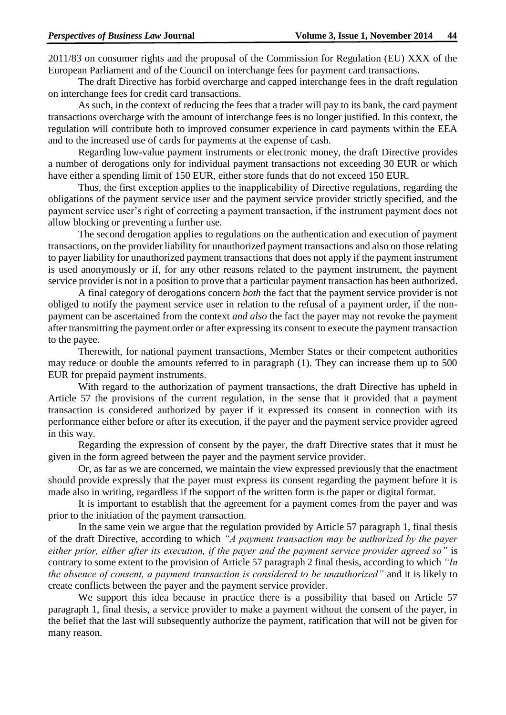2011/83 on consumer rights and the proposal of the Commission for Regulation (EU) XXX of the European Parliament and of the Council on interchange fees for payment card transactions.

The draft Directive has forbid overcharge and capped interchange fees in the draft regulation on interchange fees for credit card transactions.

As such, in the context of reducing the fees that a trader will pay to its bank, the card payment transactions overcharge with the amount of interchange fees is no longer justified. In this context, the regulation will contribute both to improved consumer experience in card payments within the EEA and to the increased use of cards for payments at the expense of cash.

Regarding low-value payment instruments or electronic money, the draft Directive provides a number of derogations only for individual payment transactions not exceeding 30 EUR or which have either a spending limit of 150 EUR, either store funds that do not exceed 150 EUR.

Thus, the first exception applies to the inapplicability of Directive regulations, regarding the obligations of the payment service user and the payment service provider strictly specified, and the payment service user's right of correcting a payment transaction, if the instrument payment does not allow blocking or preventing a further use.

The second derogation applies to regulations on the authentication and execution of payment transactions, on the provider liability for unauthorized payment transactions and also on those relating to payer liability for unauthorized payment transactions that does not apply if the payment instrument is used anonymously or if, for any other reasons related to the payment instrument, the payment service provider is not in a position to prove that a particular payment transaction has been authorized.

A final category of derogations concern *both* the fact that the payment service provider is not obliged to notify the payment service user in relation to the refusal of a payment order, if the nonpayment can be ascertained from the context *and also* the fact the payer may not revoke the payment after transmitting the payment order or after expressing its consent to execute the payment transaction to the payee.

Therewith, for national payment transactions, Member States or their competent authorities may reduce or double the amounts referred to in paragraph (1). They can increase them up to 500 EUR for prepaid payment instruments.

With regard to the authorization of payment transactions, the draft Directive has upheld in Article 57 the provisions of the current regulation, in the sense that it provided that a payment transaction is considered authorized by payer if it expressed its consent in connection with its performance either before or after its execution, if the payer and the payment service provider agreed in this way.

Regarding the expression of consent by the payer, the draft Directive states that it must be given in the form agreed between the payer and the payment service provider.

Or, as far as we are concerned, we maintain the view expressed previously that the enactment should provide expressly that the payer must express its consent regarding the payment before it is made also in writing, regardless if the support of the written form is the paper or digital format.

It is important to establish that the agreement for a payment comes from the payer and was prior to the initiation of the payment transaction.

In the same vein we argue that the regulation provided by Article 57 paragraph 1, final thesis of the draft Directive, according to which *"A payment transaction may be authorized by the payer either prior, either after its execution, if the payer and the payment service provider agreed so"* is contrary to some extent to the provision of Article 57 paragraph 2 final thesis, according to which *"In the absence of consent, a payment transaction is considered to be unauthorized"* and it is likely to create conflicts between the payer and the payment service provider.

We support this idea because in practice there is a possibility that based on Article 57 paragraph 1, final thesis, a service provider to make a payment without the consent of the payer, in the belief that the last will subsequently authorize the payment, ratification that will not be given for many reason.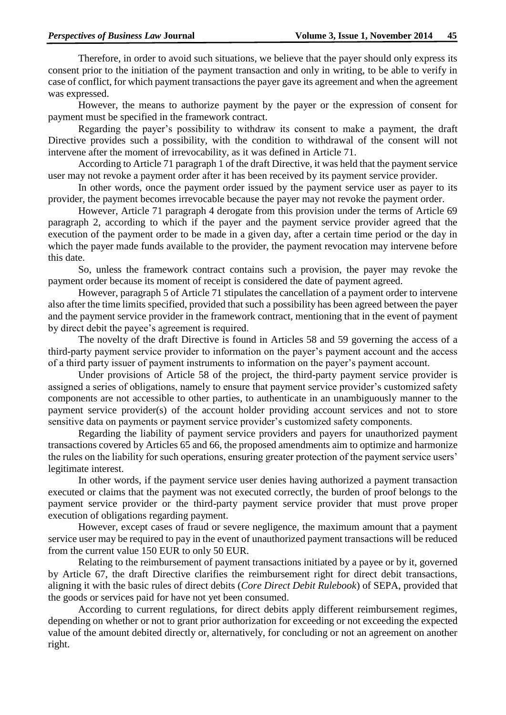Therefore, in order to avoid such situations, we believe that the payer should only express its consent prior to the initiation of the payment transaction and only in writing, to be able to verify in case of conflict, for which payment transactions the payer gave its agreement and when the agreement was expressed.

However, the means to authorize payment by the payer or the expression of consent for payment must be specified in the framework contract.

Regarding the payer's possibility to withdraw its consent to make a payment, the draft Directive provides such a possibility, with the condition to withdrawal of the consent will not intervene after the moment of irrevocability, as it was defined in Article 71.

According to Article 71 paragraph 1 of the draft Directive, it was held that the payment service user may not revoke a payment order after it has been received by its payment service provider.

In other words, once the payment order issued by the payment service user as payer to its provider, the payment becomes irrevocable because the payer may not revoke the payment order.

However, Article 71 paragraph 4 derogate from this provision under the terms of Article 69 paragraph 2, according to which if the payer and the payment service provider agreed that the execution of the payment order to be made in a given day, after a certain time period or the day in which the payer made funds available to the provider, the payment revocation may intervene before this date.

So, unless the framework contract contains such a provision, the payer may revoke the payment order because its moment of receipt is considered the date of payment agreed.

However, paragraph 5 of Article 71 stipulates the cancellation of a payment order to intervene also after the time limits specified, provided that such a possibility has been agreed between the payer and the payment service provider in the framework contract, mentioning that in the event of payment by direct debit the payee's agreement is required.

The novelty of the draft Directive is found in Articles 58 and 59 governing the access of a third-party payment service provider to information on the payer's payment account and the access of a third party issuer of payment instruments to information on the payer's payment account.

Under provisions of Article 58 of the project, the third-party payment service provider is assigned a series of obligations, namely to ensure that payment service provider's customized safety components are not accessible to other parties, to authenticate in an unambiguously manner to the payment service provider(s) of the account holder providing account services and not to store sensitive data on payments or payment service provider's customized safety components.

Regarding the liability of payment service providers and payers for unauthorized payment transactions covered by Articles 65 and 66, the proposed amendments aim to optimize and harmonize the rules on the liability for such operations, ensuring greater protection of the payment service users' legitimate interest.

In other words, if the payment service user denies having authorized a payment transaction executed or claims that the payment was not executed correctly, the burden of proof belongs to the payment service provider or the third-party payment service provider that must prove proper execution of obligations regarding payment.

However, except cases of fraud or severe negligence, the maximum amount that a payment service user may be required to pay in the event of unauthorized payment transactions will be reduced from the current value 150 EUR to only 50 EUR.

Relating to the reimbursement of payment transactions initiated by a payee or by it, governed by Article 67, the draft Directive clarifies the reimbursement right for direct debit transactions, aligning it with the basic rules of direct debits (*Core Direct Debit Rulebook*) of SEPA, provided that the goods or services paid for have not yet been consumed.

According to current regulations, for direct debits apply different reimbursement regimes, depending on whether or not to grant prior authorization for exceeding or not exceeding the expected value of the amount debited directly or, alternatively, for concluding or not an agreement on another right.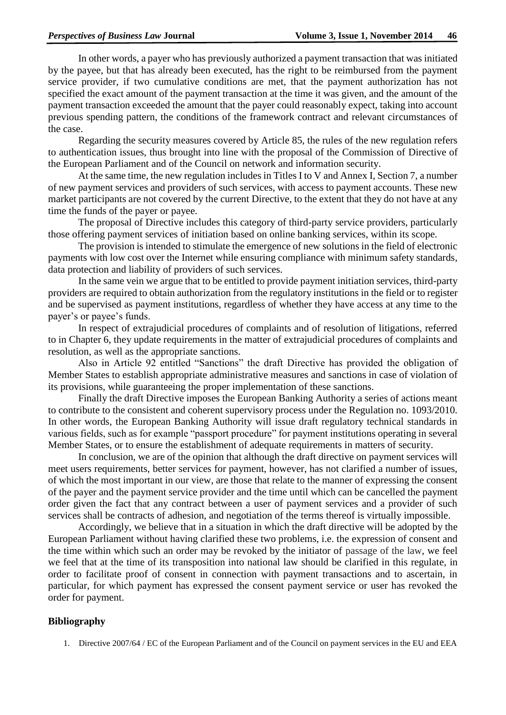In other words, a payer who has previously authorized a payment transaction that was initiated by the payee, but that has already been executed, has the right to be reimbursed from the payment service provider, if two cumulative conditions are met, that the payment authorization has not specified the exact amount of the payment transaction at the time it was given, and the amount of the payment transaction exceeded the amount that the payer could reasonably expect, taking into account previous spending pattern, the conditions of the framework contract and relevant circumstances of the case.

Regarding the security measures covered by Article 85, the rules of the new regulation refers to authentication issues, thus brought into line with the proposal of the Commission of Directive of the European Parliament and of the Council on network and information security.

At the same time, the new regulation includes in Titles I to V and Annex I, Section 7, a number of new payment services and providers of such services, with access to payment accounts. These new market participants are not covered by the current Directive, to the extent that they do not have at any time the funds of the payer or payee.

The proposal of Directive includes this category of third-party service providers, particularly those offering payment services of initiation based on online banking services, within its scope.

The provision is intended to stimulate the emergence of new solutions in the field of electronic payments with low cost over the Internet while ensuring compliance with minimum safety standards, data protection and liability of providers of such services.

In the same vein we argue that to be entitled to provide payment initiation services, third-party providers are required to obtain authorization from the regulatory institutions in the field or to register and be supervised as payment institutions, regardless of whether they have access at any time to the payer's or payee's funds.

In respect of extrajudicial procedures of complaints and of resolution of litigations, referred to in Chapter 6, they update requirements in the matter of extrajudicial procedures of complaints and resolution, as well as the appropriate sanctions.

Also in Article 92 entitled "Sanctions" the draft Directive has provided the obligation of Member States to establish appropriate administrative measures and sanctions in case of violation of its provisions, while guaranteeing the proper implementation of these sanctions.

Finally the draft Directive imposes the European Banking Authority a series of actions meant to contribute to the consistent and coherent supervisory process under the Regulation no. 1093/2010. In other words, the European Banking Authority will issue draft regulatory technical standards in various fields, such as for example "passport procedure" for payment institutions operating in several Member States, or to ensure the establishment of adequate requirements in matters of security.

In conclusion, we are of the opinion that although the draft directive on payment services will meet users requirements, better services for payment, however, has not clarified a number of issues, of which the most important in our view, are those that relate to the manner of expressing the consent of the payer and the payment service provider and the time until which can be cancelled the payment order given the fact that any contract between a user of payment services and a provider of such services shall be contracts of adhesion, and negotiation of the terms thereof is virtually impossible.

Accordingly, we believe that in a situation in which the draft directive will be adopted by the European Parliament without having clarified these two problems, i.e. the expression of consent and the time within which such an order may be revoked by the initiator of passage of the law, we feel we feel that at the time of its transposition into national law should be clarified in this regulate, in order to facilitate proof of consent in connection with payment transactions and to ascertain, in particular, for which payment has expressed the consent payment service or user has revoked the order for payment.

### **Bibliography**

1. Directive 2007/64 / EC of the European Parliament and of the Council on payment services in the EU and EEA